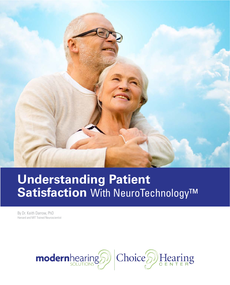

# **Understanding Patient Satisfaction** With NeuroTechnology™

By Dr. Keith Darrow, PhD Harvard and MIT Trained Neuroscientist

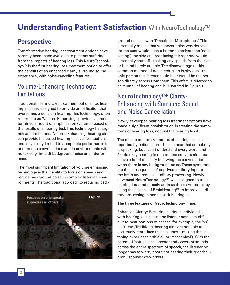## Understanding Patient Satisfaction With NeuroTechnology™

### **Perspective**

Transformative hearing loss treatment options have recently been made available to patients suffering from the impacts of hearing loss. This NeuroTechnology™ is the first hearing loss treatment option to offer the benefits of an enhanced clarity surround sound experience, with noise-canceling features.

### Volume-Enhancing Technology: **Limitations**

Traditional hearing Loss treatment options (i.e. hearing aids) are designed to provide amplification that overcomes a deficit in hearing. This technology, often referred to as 'Volume Enhancing', provides a predetermined amount of amplification (volume) based on the results of a hearing test. This technology has significant limitations. 'Volume Enhancing' hearing aids can provide increased hearing in specific situations, and is typically limited to acceptable performance in one-on-one conversations and in environments with no (or very limited) background noise and interference.

The most significant limitation of volume enhancing technology is the inability to focus on speech and reduce background noise in complex listening environments. The traditional approach to reducing back-



ground noise is with 'Directional Microphones'. This essentially means that whenever noise was detected (or the user would push a button to activate the 'noise setting') the side and rear facing microphone would essentially shut off - making any speech from the sides or behind barely audible. The disadvantage to this common method of noise reduction is obvious - the only person the listener could hear would be the person directly across from them. This effect is referred to as 'tunnel' of hearing and is illustrated in Figure 1.

### NeuroTechnology™: Clarity-Enhancing with Surround Sound and Noise Cancellation

Newly developed hearing loss treatment options have made a significant breakthrough in treating the symptoms of hearing loss, not just the hearing loss!

The most common symptoms of hearing loss (as reported by patients) are: 1) I can hear that somebody is speaking, but I can't understand every word, and 2) I do okay hearing in one-on-one conversation, but I have a lot of difficulty following the conversation when there is any background noise. These symptoms are the consequence of deprived auditory input to the brain and reduced auditory processing. Newly advanced NeuroTechnology™ was designed to treat hearing loss and directly address these symptoms by using the science of BrainHearing™ to improve auditory processing in people with hearing loss.

#### **The three features of NeuroTechnology™ are:**

Enhanced Clarity: Restoring clarity in individuals with hearing loss allows the listener access to difficult-to-hear portions of speech, for example, the 'sh', 's', 't', etc., Traditional hearing aids are not able to accurately reproduce these sounds – making the listening experience artificial (or 'mechanical'). With the patented 'soft-speech' booster and access of sounds across the entire spectrum of speech, the listener no longer has to worry about not hearing their grandchildren / spouse / co-workers.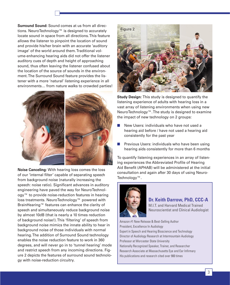**Surround Sound:** Sound comes at us from all directions. NeuroTechnology™ is designed to accurately locate sound in space from all directions. This feature allows the listener to pinpoint the location of sound and provide his/her brain with an accurate 'auditory image' of the world around them. Traditional volume-enhancing hearing aids did not offer the listener auditory cues of depth and height of approaching sound, thus often leaving the listener confused about the location of the source of sounds in the environment. The Surround Sound feature provides the listener with a more 'natural' listening experience in all environments… from nature walks to crowded parties!



**Noise Canceling:** With hearing loss comes the loss of our 'internal filter' capable of separating speech from background noise (naturally increasing the speech: noise ratio). Significant advances in auditory engineering have paved the way for NeuroTechnology™ to provide noise-reduction features in hearing loss treatments. NeuroTechnology™ powered with BrainHearing™ features can enhance the clarity of speech and simultaneously reduce background noise by almost 10dB (that is nearly a 10 times reduction of background noise!). This 'filtering' of speech from background noise mimics the innate ability to hear in background noise of those individuals with normal hearing. The addition of Surround Sound technology enables the noise reduction feature to work in 360 degrees, and will never go in to 'tunnel hearing' mode and restrict speech from any incoming directions. Figure 2 depicts the features of surround sound technology with noise-reduction circuitry.



**Study Design:** This study is designed to quantify the listening experience of adults with hearing loss in a vast array of listening environments when using new NeuroTechnology™. The study is designed to examine the impact of new technology on 2 groups:

- New Users: individuals who have not used a hearing aid before / have not used a hearing aid consistently for the past year
- Previous Users: individuals who have been using hearing aids consistently for more than 6 months

To quantify listening experiences in an array of listening experiences the Abbreviated Profile of Hearing Aid Benefit (APHAB) will be administered at the initial consultation and again after 30 days of using Neuro-Technology™.



#### **Dr. Keith Darrow, PhD, CCC-A**

M.I.T. and Harvard Medical Trained Neuroscientist and Clinical Audiologist

Amazon #1 New Release & Best-Selling Author President, Excellence In Audiology Expert in Speech and Hearing Bioscience and Technology Director of Audiology Research at Intermountain Audiology Professor at Worcester State University Nationally Recognized Speaker, Trainer, and Researcher Research Associate at Massachusetts Eye and Ear Infirmary His publications and research cited over 900 times